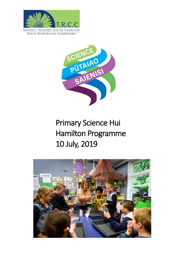



# Primary Science Hui Hamilton Programme 10 July, 2019

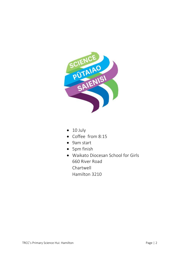

- 10 July
- Coffee from 8:15
- 9am start
- 5pm finish
- Waikato Diocesan School for Girls 660 River Road Chartwell Hamilton 3210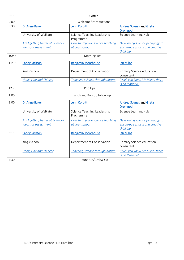| 8:15  | Coffee                                                  |                                                   |                                                                               |
|-------|---------------------------------------------------------|---------------------------------------------------|-------------------------------------------------------------------------------|
| 9:00  | Welcome/Introductions                                   |                                                   |                                                                               |
| 9:30  | Dr Anne Baker                                           | <b>Jenn Corbitt</b>                               | <b>Andrea Soanes and Greta</b><br><b>Dromgool</b>                             |
|       | University of Waikato                                   | Science Teaching Leadership<br>Programme          | Science Learning Hub                                                          |
|       | Am I getting better at Science?                         | How to improve science teaching                   | Developing science pedagogy to                                                |
|       | <b>Ideas for assessment</b>                             | at your school                                    | encourage critical and creative<br>thinking                                   |
| 10:45 | Morning Tea                                             |                                                   |                                                                               |
| 11:15 | <b>Sandy Jackson</b>                                    | <b>Benjamin Moorhouse</b>                         | Ian Milne                                                                     |
|       | Kings School                                            | Department of Conservation                        | Primary Science education<br>consultant                                       |
|       | Hook, Line and Thinker                                  | Teaching science through nature                   | "Well you know Mr Milne, there<br>is no Planet B"                             |
| 12:25 | Pop Ups                                                 |                                                   |                                                                               |
| 1:00  | Lunch and Pop Up follow up                              |                                                   |                                                                               |
| 2:00  | <b>Dr Anne Baker</b>                                    | <b>Jenn Corbitt</b>                               | <b>Andrea Soanes and Greta</b><br><b>Dromgool</b>                             |
|       | University of Waikato                                   | Science Teaching Leadership<br>Programme          | Science Learning Hub                                                          |
|       | Am I getting better at Science?<br>Ideas for assessment | How to improve science teaching<br>at your school | Developing science pedagogy to<br>encourage critical and creative<br>thinking |
| 3:15  | <b>Sandy Jackson</b>                                    | <b>Benjamin Moorhouse</b>                         | lan Milne                                                                     |
|       | Kings School                                            | Department of Conservation                        | Primary Science education<br>consultant                                       |
|       | Hook, Line and Thinker                                  | Teaching science through nature                   | "Well you know Mr Milne, there<br>is no Planet B"                             |
| 4:30  | Round Up/Grab& Go                                       |                                                   |                                                                               |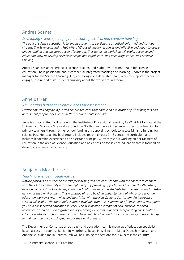# <span id="page-3-1"></span>Andrea Soanes

#### <span id="page-3-3"></span>*Developing science pedagogy to encourage critical and creative thinking*

*The goal of science education is to enable students to participate as critical, informed and curious citizens. The Science Learning Hub offers NZ-based quality resources and effective pedagogy to deepen understanding and encourage scientific literacy. This hands-on workshop will explore science and education, how to develop science concepts and capabilities, and encourage critical and creative thinking.*

Andrea Soanes is an experienced science teacher, and Kudos award winner 2018 for science education. She is passionate about contextual integrated teaching and learning. Andrea is the project manager for the Science Learning Hub, and alongside a dedicated team, work to support teachers to engage, inspire and build students curiosity about the world around them.

## <span id="page-3-0"></span>Anne Barker

#### <span id="page-3-2"></span>*Am I getting better at Science? Ideas for assessment*

*Participants will engage in fun and simple activities that enable an exploration of what progress and assessment for primary science in New Zealand could look like*.

Anne is an accredited facilitator with the Institute of Professional Learning, Te Whai Toi Tangata at the University of Waikato. She works around the North Island providing science professional learning for primary teachers through either school funding or supporting schools to access Ministry funding for science PLD. Her teaching background includes teaching years 2 – 8 across the curriculum and includes leadership experience as an assistant principal. Currently she is working on her Masters of Education in the area of Science Education and has a passion for science education that is focused on developing science for citizenship.

## <span id="page-3-4"></span>Benjamin Moorhouse

#### <span id="page-3-5"></span>*Teaching science through nature*

*Nature provides an authentic context for learning and provides schools with the context to connect with their local community in a meaningful way. By providing opportunities to connect with nature, develop conservation knowledge, values and skills, teachers and students become empowered to takeaction for their environment. This workshop aims to build an understanding of why a conservation education journey is worthwhile and how it fits with the New Zealand Curriculum. An interactive session will explore the tools and resources available from the Department of Conservation to support you on a conservation education journey. This will include examples of DOC curriculum linked resources, based on our integrated inquiry learning cycle that supports incorporating conservation education into your school curriculum and help build teachers and students capability to drive change in their community by taking-action for their environment.* 

The Department of Conservation outreach and education team is made up of education specialist based across the country. Benjamin Moorhouse based in Wellington, Maria Deutsch in Nelson and Annabelle Studholme in Christchurch will be running the sessions for DOC across the country.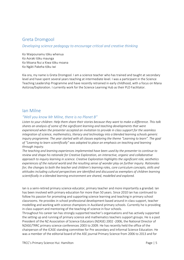# <span id="page-4-0"></span>Greta Dromgool

#### *Developing science pedagogy to encourage critical and creative thinking*

Ko Waipounamu tōku whenua Ko Aoraki tōku maunga Ko Moana Nui a Kiwa tōku moana Ko Ngāti Pakeha tōku iwi

Kia ora, my name is Greta Dromgool. I am a science teacher who has trained and taught at secondary level and have spent several years teaching at intermediate level. I was a participant in the Science Teaching Leadership Programme and have recently retrained in early childhood, with a focus on Mana Aotūroa/Exploration. I currently work for the Science Learning Hub as their PLD Facilitator.

### <span id="page-4-1"></span>Ian Milne

#### *"Well you know Mr Milne, there is no Planet B"*

*Listen to your children: Help them share their stories because they want to make a difference. This talk shares an analysis of some of the significant learning and teaching developments that were experienced when the presenter accepted an invitation to provide in class support for the seamless integration of science, mathematics, literacy and technology into a blended learning schools generic inquiry programme. The year started with all classes exploring the theme "Learning to learn". The goal of "Learning to learn scientifically" was adopted to place an emphasis on teaching and learning through inquiry.* 

*The teaching and learning experiences implemented have been used by the presenter to continue to review and shape his rationale for Creative Exploration, an interactive, organic and collaborative approach to inquiry learning in science. Creative Exploration highlights the significant role, aesthetics experiences of the natural world and the resulting sense of wonder play on further inquiry. Rationales for; the changes to both the teacher and children's learning roles, core curriculum concepts, skills and attitudes including cultural perspectives are identified and discussed as exemplars of children learning scientifically in a blended learning environment are shared, modelled and explored.*

Ian is a semi-retired primary science educator, primary teacher and more importantly a grandad. Ian has been involved with primary education for more than 50 years. Since 2010 Ian has continued to follow his passion for promoting and supporting science learning and teaching in primary school classrooms. He provides in school professional development based around in-class support, teacher modelling and working with science champions in Auckland primary schools. Currently he is providing in-class support and mentoring of the teaching of science in four schools.

Throughout his career Ian has strongly supported teacher's organisations and has actively supported the setting up and running of primary science and mathematics teachers support groups. He is a past President of the NZ Association of Science Educators (NZASE) 2002 -2006, the National Director of NZASE/TRRC primary science conferences 2003 to 2009. He has recently held the office of the chairperson of the ICASE standing committee for Pre secondary and Informal Science Education. He was a member of the editorial board of the ASE journal Primary Science from 2006 to 2013 and for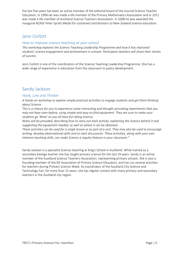the last five years has been an active member of the editorial board of the Journal Science Teacher Education. In 1998 Ian was made a life member of the Primary Mathematics Association and in 2011 was made a life member of Auckland Science Teachers Association. In 2008 he was awarded the inaugural NZASE Peter Spratt Medal for sustained contributions to New Zealand science education.

## <span id="page-5-0"></span>Jenn Corbitt

#### <span id="page-5-1"></span>*How to improve science teaching at your school*

*This workshop explores the Science Teaching Leadership Programme and how it has improved students' science engagement and achievement in schools. Participant teachers will share their stories of success.*

Jenn Corbitt is one of the coordinators of the Science Teaching Leadership Programme. She has a wide range of experience in education from the classroom to policy development.

## <span id="page-5-2"></span>Sandy Jackson

#### <span id="page-5-3"></span>*Hook, Line and Thinker*

*A hands-on workshop to explore simple practical activities to engage students and get them thinking about Science.* 

*This is a chance for you to experience some interesting and thought-provoking experiments that you may not have seen before, using simple and easy-to-find equipment. They are sure to make your students go 'Wow' as you all have fun doing Science.*

*Notes will be provided, describing how to carry out each activity, explaining the Science behind it and suggesting the equipment needed, as well as where it can be obtained.*

*These activities can be used for a single lesson or as part of a unit. They may also be used to encourage writing, develop observational skills and to start discussions. These activities, along with your own inherent teaching skills, can make Science a regular feature in your classroom."*

Sandy Jackson is a specialist Science teaching at King's School in Auckland. While trained as a secondary biology teacher she has taught primary science for the last 19 years. Sandy is an active member of the Auckland Science Teachers Association, representing primary schools. She is also a founding member of the NZ Association of Primary Science Educators, and has run several activities for teachers during Primary Science Week. As coordinator of the Auckland City Science and Technology Fair, for more than 15 years, she has regular contact with many primary and secondary teachers in the Auckland city region.